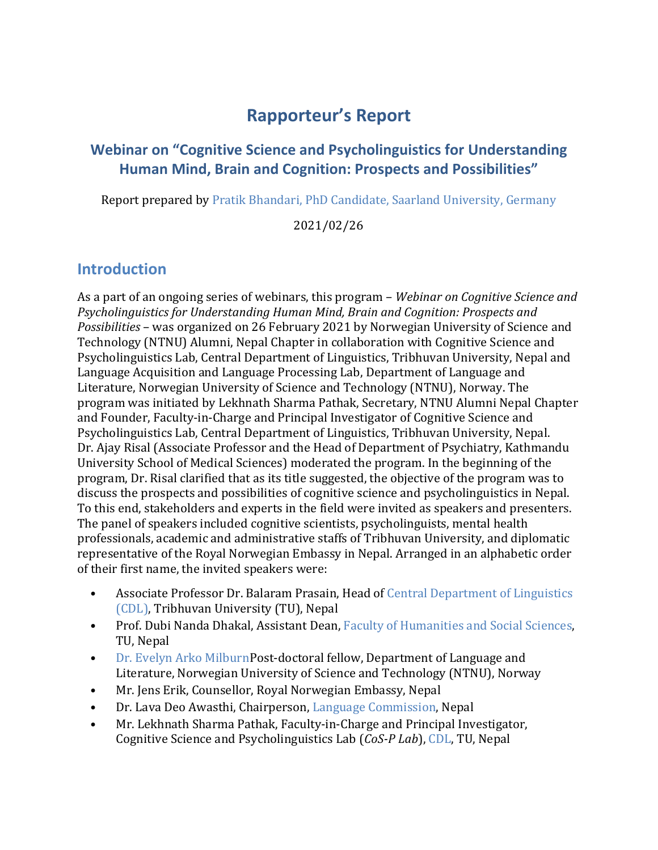# **Rapporteur's Report**

### **Webinar on "Cognitive Science and Psycholinguistics for Understanding Human Mind, Brain and Cognition: Prospects and Possibilities"**

Report prepared b[y Pratik Bhandari, PhD Candidate, Saarland University, Germany](https://pratik-bhandari.github.io/)

#### 2021/02/26

#### **Introduction**

As a part of an ongoing series of webinars, this program – *Webinar on Cognitive Science and Psycholinguistics for Understanding Human Mind, Brain and Cognition: Prospects and Possibilities* – was organized on 26 February 2021 by Norwegian University of Science and Technology (NTNU) Alumni, Nepal Chapter in collaboration with Cognitive Science and Psycholinguistics Lab, Central Department of Linguistics, Tribhuvan University, Nepal and Language Acquisition and Language Processing Lab, Department of Language and Literature, Norwegian University of Science and Technology (NTNU), Norway. The program was initiated by Lekhnath Sharma Pathak, Secretary, NTNU Alumni Nepal Chapter and Founder, Faculty-in-Charge and Principal Investigator of Cognitive Science and Psycholinguistics Lab, Central Department of Linguistics, Tribhuvan University, Nepal. Dr. Ajay Risal (Associate Professor and the Head of Department of Psychiatry, Kathmandu University School of Medical Sciences) moderated the program. In the beginning of the program, Dr. Risal clarified that as its title suggested, the objective of the program was to discuss the prospects and possibilities of cognitive science and psycholinguistics in Nepal. To this end, stakeholders and experts in the field were invited as speakers and presenters. The panel of speakers included cognitive scientists, psycholinguists, mental health professionals, academic and administrative staffs of Tribhuvan University, and diplomatic representative of the Royal Norwegian Embassy in Nepal. Arranged in an alphabetic order of their first name, the invited speakers were:

- Associate Professor Dr. Balaram Prasain, Head of [Central Department of Linguistics](https://cdltu.edu.np/)  [\(CDL\),](https://cdltu.edu.np/) Tribhuvan University (TU), Nepal
- Prof. Dubi Nanda Dhakal, Assistant Dean, [Faculty of Humanities and Social Sciences,](http://tribhuvan-university.edu.np/faculty/1_5dbbd84703c23) TU, Nepal
- Dr. [Evelyn Arko MilburnP](https://www.ntnu.edu/employees/evelyn.a.milburn)ost-doctoral fellow, Department of Language and Literature, Norwegian University of Science and Technology (NTNU), Norway
- Mr. Jens Erik, Counsellor, Royal Norwegian Embassy, Nepal
- Dr. Lava Deo Awasthi, Chairperson, [Language Commission,](http://languagecommission.gov.np/en) Nepal
- Mr. Lekhnath Sharma Pathak, Faculty-in-Charge and Principal Investigator, Cognitive Science and Psycholinguistics Lab (*CoS-P Lab*), [CDL,](https://cdltu.edu.np/) TU, Nepal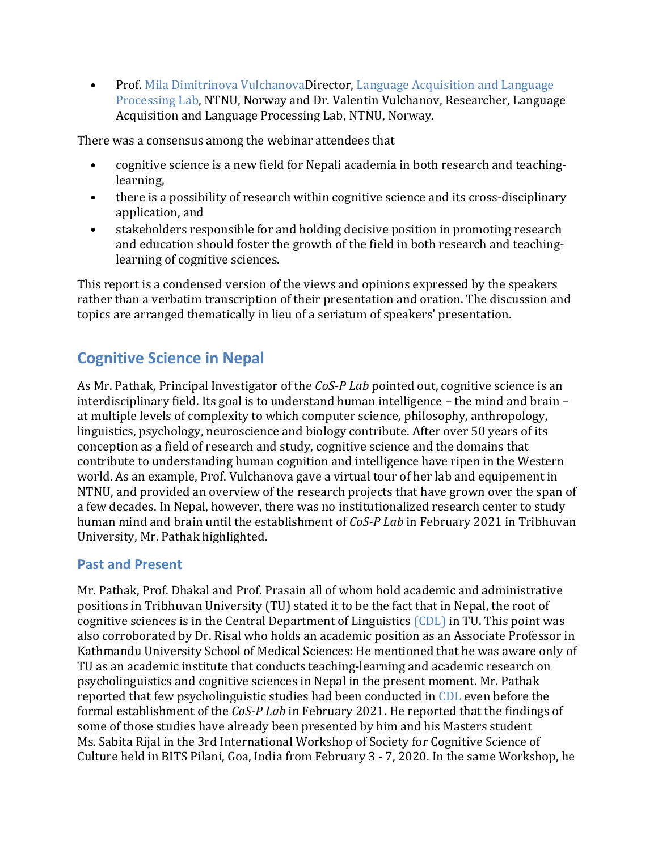• Prof. [Mila Dimitrinova VulchanovaD](https://www.ntnu.edu/employees/mila.vulchanova)irector, Language Acquisition and Language [Processing Lab,](https://www.ntnu.edu/langdevlab) NTNU, Norway and Dr. Valentin Vulchanov, Researcher, Language Acquisition and Language Processing Lab, NTNU, Norway.

There was a consensus among the webinar attendees that

- cognitive science is a new field for Nepali academia in both research and teachinglearning,
- there is a possibility of research within cognitive science and its cross-disciplinary application, and
- stakeholders responsible for and holding decisive position in promoting research and education should foster the growth of the field in both research and teachinglearning of cognitive sciences.

This report is a condensed version of the views and opinions expressed by the speakers rather than a verbatim transcription of their presentation and oration. The discussion and topics are arranged thematically in lieu of a seriatum of speakers' presentation.

## **Cognitive Science in Nepal**

As Mr. Pathak, Principal Investigator of the *CoS-P Lab* pointed out, cognitive science is an interdisciplinary field. Its goal is to understand human intelligence – the mind and brain – at multiple levels of complexity to which computer science, philosophy, anthropology, linguistics, psychology, neuroscience and biology contribute. After over 50 years of its conception as a field of research and study, cognitive science and the domains that contribute to understanding human cognition and intelligence have ripen in the Western world. As an example, Prof. Vulchanova gave a virtual tour of her lab and equipement in NTNU, and provided an overview of the research projects that have grown over the span of a few decades. In Nepal, however, there was no institutionalized research center to study human mind and brain until the establishment of *CoS-P Lab* in February 2021 in Tribhuvan University, Mr. Pathak highlighted.

#### **Past and Present**

Mr. Pathak, Prof. Dhakal and Prof. Prasain all of whom hold academic and administrative positions in Tribhuvan University (TU) stated it to be the fact that in Nepal, the root of cognitive sciences is in the Central Department of Linguistics [\(CDL\)](https://cdltu.edu.np/) in TU. This point was also corroborated by Dr. Risal who holds an academic position as an Associate Professor in Kathmandu University School of Medical Sciences: He mentioned that he was aware only of TU as an academic institute that conducts teaching-learning and academic research on psycholinguistics and cognitive sciences in Nepal in the present moment. Mr. Pathak reported that few psycholinguistic studies had been conducted in [CDL](https://cdltu.edu.np/) even before the formal establishment of the *CoS-P Lab* in February 2021. He reported that the findings of some of those studies have already been presented by him and his Masters student Ms. Sabita Rijal in the 3rd International Workshop of Society for Cognitive Science of Culture held in BITS Pilani, Goa, India from February 3 - 7, 2020. In the same Workshop, he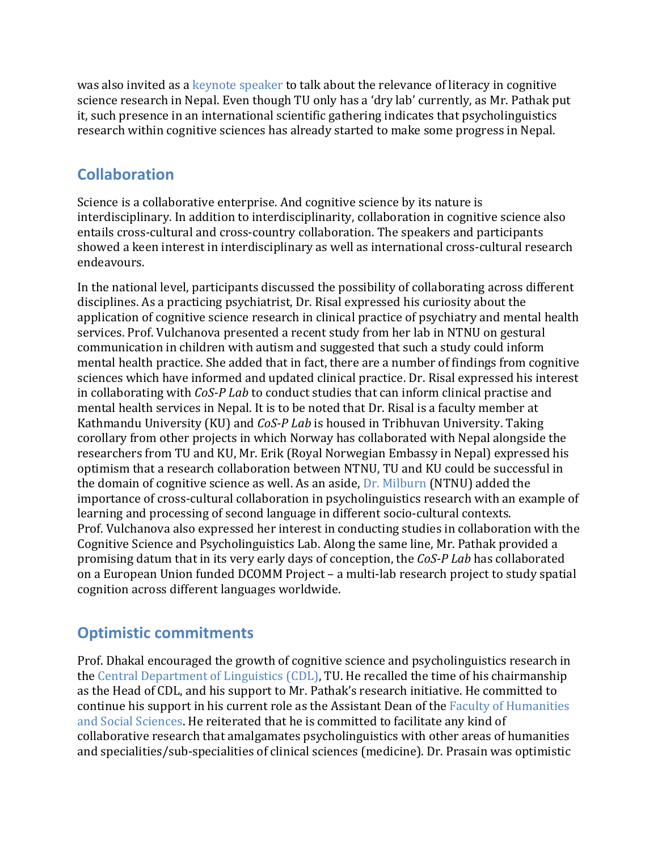was also invited as a [keynote speaker](https://www.youtube.com/watch?v=-6SDK84frYU) to talk about the relevance of literacy in cognitive science research in Nepal. Even though TU only has a 'dry lab' currently, as Mr. Pathak put it, such presence in an international scientific gathering indicates that psycholinguistics research within cognitive sciences has already started to make some progress in Nepal.

# **Collaboration**

Science is a collaborative enterprise. And cognitive science by its nature is interdisciplinary. In addition to interdisciplinarity, collaboration in cognitive science also entails cross-cultural and cross-country collaboration. The speakers and participants showed a keen interest in interdisciplinary as well as international cross-cultural research endeavours.

In the national level, participants discussed the possibility of collaborating across different disciplines. As a practicing psychiatrist, Dr. Risal expressed his curiosity about the application of cognitive science research in clinical practice of psychiatry and mental health services. Prof. Vulchanova presented a recent study from her lab in NTNU on gestural communication in children with autism and suggested that such a study could inform mental health practice. She added that in fact, there are a number of findings from cognitive sciences which have informed and updated clinical practice. Dr. Risal expressed his interest in collaborating with *CoS-P Lab* to conduct studies that can inform clinical practise and mental health services in Nepal. It is to be noted that Dr. Risal is a faculty member at Kathmandu University (KU) and *CoS-P Lab* is housed in Tribhuvan University. Taking corollary from other projects in which Norway has collaborated with Nepal alongside the researchers from TU and KU, Mr. Erik (Royal Norwegian Embassy in Nepal) expressed his optimism that a research collaboration between NTNU, TU and KU could be successful in the domain of cognitive science as well. As an aside, Dr. [Milburn](https://www.ntnu.edu/employees/evelyn.a.milburn) (NTNU) added the importance of cross-cultural collaboration in psycholinguistics research with an example of learning and processing of second language in different socio-cultural contexts. Prof. Vulchanova also expressed her interest in conducting studies in collaboration with the Cognitive Science and Psycholinguistics Lab. Along the same line, Mr. Pathak provided a promising datum that in its very early days of conception, the *CoS-P Lab* has collaborated on a European Union funded DCOMM Project – a multi-lab research project to study spatial cognition across different languages worldwide.

# **Optimistic commitments**

Prof. Dhakal encouraged the growth of cognitive science and psycholinguistics research in the [Central Department of Linguistics \(CDL\),](https://cdltu.edu.np/) TU. He recalled the time of his chairmanship as the Head of CDL, and his support to Mr. Pathak's research initiative. He committed to continue his support in his current role as the Assistant Dean of the [Faculty of Humanities](http://tribhuvan-university.edu.np/faculty/1_5dbbd84703c23)  [and Social Sciences.](http://tribhuvan-university.edu.np/faculty/1_5dbbd84703c23) He reiterated that he is committed to facilitate any kind of collaborative research that amalgamates psycholinguistics with other areas of humanities and specialities/sub-specialities of clinical sciences (medicine). Dr. Prasain was optimistic